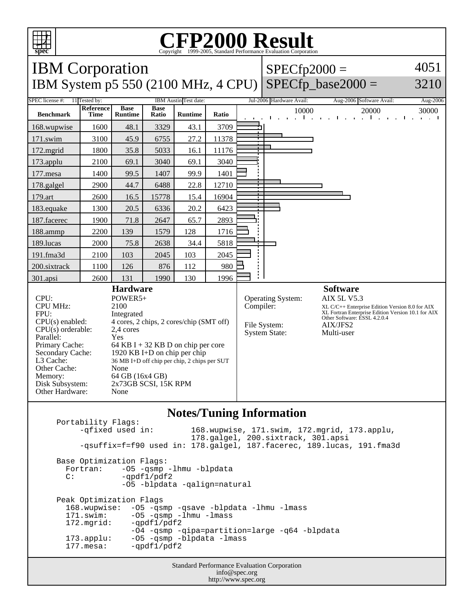

Memory: 64 GB (16x4 GB) Disk Subsystem: 2x73GB SCSI, 15K RPM

Other Hardware: None

4051

3210

## **Notes/Tuning Information**

Portability Flags:<br>-qfixed used in: 168.wupwise, 171.swim, 172.mgrid, 173.applu, 178.galgel, 200.sixtrack, 301.apsi -qsuffix=f=f90 used in: 178.galgel, 187.facerec, 189.lucas, 191.fma3d Base Optimization Flags: Fortran: -05 -qsmp -lhmu -blpdata<br>C: -ordf1/pdf2 -qpdf1/pdf2 -O5 -blpdata -qalign=natural Peak Optimization Flags 168.wupwise: -O5 -qsmp -qsave -blpdata -lhmu -lmass 171.swim: -05 -qsmp -lhmu -lmass<br>172.mgrid: -qpdf1/pdf2  $-$ qpdf $1$ /pdf $2$  -O4 -qsmp -qipa=partition=large -q64 -blpdata 173.applu: -O5 -qsmp -blpdata -lmass 177.mesa: - qpdf1/pdf2

Standard Performance Evaluation Corporation info@spec.org http://www.spec.org